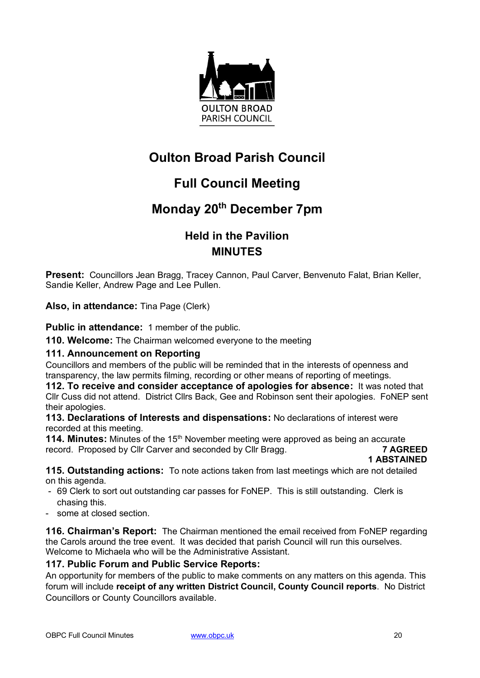

# **Oulton Broad Parish Council**

# **Full Council Meeting**

## **Monday 20th December 7pm**

### **Held in the Pavilion MINUTES**

**Present:** Councillors Jean Bragg, Tracey Cannon, Paul Carver, Benvenuto Falat, Brian Keller, Sandie Keller, Andrew Page and Lee Pullen.

**Also, in attendance:** Tina Page (Clerk)

**Public in attendance:** 1 member of the public.

**110. Welcome:** The Chairman welcomed everyone to the meeting

#### **111. Announcement on Reporting**

Councillors and members of the public will be reminded that in the interests of openness and transparency, the law permits filming, recording or other means of reporting of meetings.

**112. To receive and consider acceptance of apologies for absence:** It was noted that Cllr Cuss did not attend. District Cllrs Back, Gee and Robinson sent their apologies. FoNEP sent their apologies.

**113. Declarations of Interests and dispensations:** No declarations of interest were recorded at this meeting.

**114. Minutes:** Minutes of the 15<sup>th</sup> November meeting were approved as being an accurate record. Proposed by Cllr Carver and seconded by Cllr Bragg. **7 AGREED**

 **1 ABSTAINED**

**115. Outstanding actions:** To note actions taken from last meetings which are not detailed on this agenda.

- 69 Clerk to sort out outstanding car passes for FoNEP. This is still outstanding. Clerk is chasing this.
- some at closed section.

**116. Chairman's Report:** The Chairman mentioned the email received from FoNEP regarding the Carols around the tree event. It was decided that parish Council will run this ourselves. Welcome to Michaela who will be the Administrative Assistant.

#### **117. Public Forum and Public Service Reports:**

An opportunity for members of the public to make comments on any matters on this agenda. This forum will include **receipt of any written District Council, County Council reports**. No District Councillors or County Councillors available.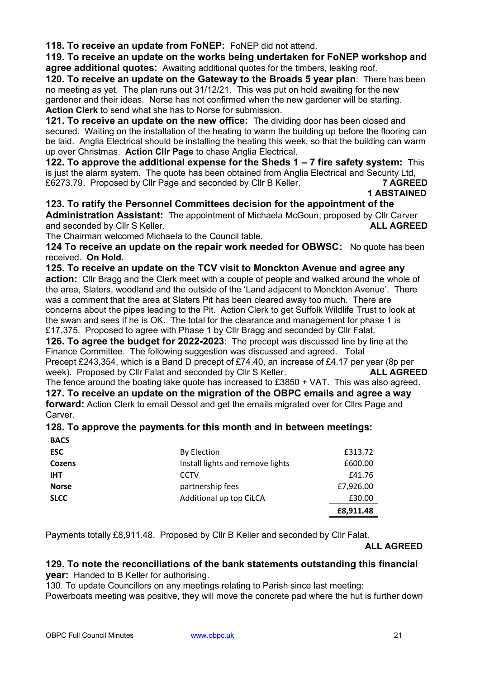**118. To receive an update from FoNEP:** FoNEP did not attend.

**119. To receive an update on the works being undertaken for FoNEP workshop and agree additional quotes:** Awaiting additional quotes for the timbers, leaking roof.

**120. To receive an update on the Gateway to the Broads 5 year plan**: There has been no meeting as yet. The plan runs out 31/12/21. This was put on hold awaiting for the new gardener and their ideas. Norse has not confirmed when the new gardener will be starting. **Action Clerk** to send what she has to Norse for submission.

**121. To receive an update on the new office:** The dividing door has been closed and secured. Waiting on the installation of the heating to warm the building up before the flooring can be laid. Anglia Electrical should be installing the heating this week, so that the building can warm up over Christmas. **Action Cllr Page** to chase Anglia Electrical.

**122. To approve the additional expense for the Sheds 1 – 7 fire safety system:** This is just the alarm system. The quote has been obtained from Anglia Electrical and Security Ltd, £6273.79. Proposed by Cllr Page and seconded by Cllr B Keller. **7 AGREED**

#### **1 ABSTAINED**

**123. To ratify the Personnel Committees decision for the appointment of the Administration Assistant:** The appointment of Michaela McGoun, proposed by Cllr Carver and seconded by Cllr S Keller. **ALL AGREED**

The Chairman welcomed Michaela to the Council table.

**124 To receive an update on the repair work needed for OBWSC:** No quote has been received. **On Hold.**

**125. To receive an update on the TCV visit to Monckton Avenue and agree any action:** Cllr Bragg and the Clerk meet with a couple of people and walked around the whole of the area, Slaters, woodland and the outside of the 'Land adjacent to Monckton Avenue'. There was a comment that the area at Slaters Pit has been cleared away too much. There are concerns about the pipes leading to the Pit. Action Clerk to get Suffolk Wildlife Trust to look at the swan and sees if he is OK. The total for the clearance and management for phase 1 is £17,375. Proposed to agree with Phase 1 by Cllr Bragg and seconded by Cllr Falat.

**126. To agree the budget for 2022-2023**: The precept was discussed line by line at the Finance Committee. The following suggestion was discussed and agreed. Total Precept £243,354, which is a Band D precept of £74.40, an increase of £4.17 per year (8p per week). Proposed by Cllr Falat and seconded by Cllr S Keller. **ALL AGREED**

The fence around the boating lake quote has increased to £3850 + VAT. This was also agreed. **127. To receive an update on the migration of the OBPC emails and agree a way forward:** Action Clerk to email Dessol and get the emails migrated over for Cllrs Page and **Carver** 

### **128. To approve the payments for this month and in between meetings:**

**BACS**

| ESC          | By Election                      | £313.72   |
|--------------|----------------------------------|-----------|
| Cozens       | Install lights and remove lights | £600.00   |
| <b>IHT</b>   | CCTV                             | £41.76    |
| <b>Norse</b> | partnership fees                 | £7,926.00 |
| SLCC         | Additional up top CiLCA          | £30.00    |
|              |                                  | £8,911.48 |

Payments totally £8,911.48. Proposed by Cllr B Keller and seconded by Cllr Falat.

#### **ALL AGREED**

#### **129. To note the reconciliations of the bank statements outstanding this financial year:** Handed to B Keller for authorising.

130. To update Councillors on any meetings relating to Parish since last meeting:

Powerboats meeting was positive, they will move the concrete pad where the hut is further down